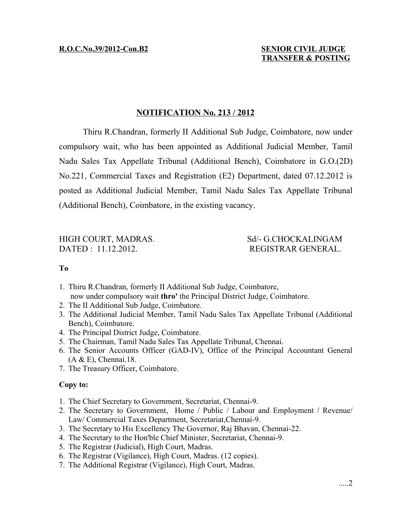## **NOTIFICATION No. 213 / 2012**

Thiru R.Chandran, formerly II Additional Sub Judge, Coimbatore, now under compulsory wait, who has been appointed as Additional Judicial Member, Tamil Nadu Sales Tax Appellate Tribunal (Additional Bench), Coimbatore in G.O.(2D) No.221, Commercial Taxes and Registration (E2) Department, dated 07.12.2012 is posted as Additional Judicial Member, Tamil Nadu Sales Tax Appellate Tribunal (Additional Bench), Coimbatore, in the existing vacancy.

## HIGH COURT, MADRAS. Sd/- G.CHOCKALINGAM DATED : 11.12.2012. REGISTRAR GENERAL.

## **To**

- 1. Thiru R.Chandran, formerly II Additional Sub Judge, Coimbatore, now under compulsory wait **thro'** the Principal District Judge, Coimbatore.
- 2. The II Additional Sub Judge, Coimbatore.
- 3. The Additional Judicial Member, Tamil Nadu Sales Tax Appellate Tribunal (Additional Bench), Coimbatore.
- 4. The Principal District Judge, Coimbatore.
- 5. The Chairman, Tamil Nadu Sales Tax Appellate Tribunal, Chennai.
- 6. The Senior Accounts Officer (GAD-IV), Office of the Principal Accountant General (A & E), Chennai.18.
- 7. The Treasury Officer, Coimbatore.

## **Copy to:**

- 1. The Chief Secretary to Government, Secretariat, Chennai-9.
- 2. The Secretary to Government, Home / Public / Labour and Employment / Revenue/ Law/ Commercial Taxes Department, Secretariat,Chennai-9.
- 3. The Secretary to His Excellency The Governor, Raj Bhavan, Chennai-22.
- 4. The Secretary to the Hon'ble Chief Minister, Secretariat, Chennai-9.
- 5. The Registrar (Judicial), High Court, Madras.
- 6. The Registrar (Vigilance), High Court, Madras. (12 copies).
- 7. The Additional Registrar (Vigilance), High Court, Madras.